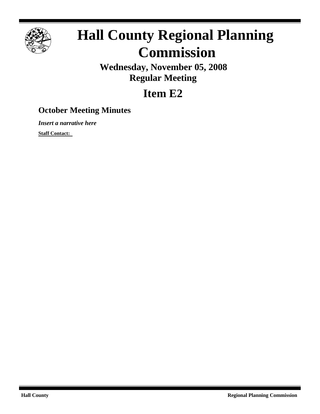

# **Hall County Regional Planning Commission**

**Wednesday, November 05, 2008 Regular Meeting**

## **Item E2**

### **October Meeting Minutes**

*Insert a narrative here*

**Staff Contact:**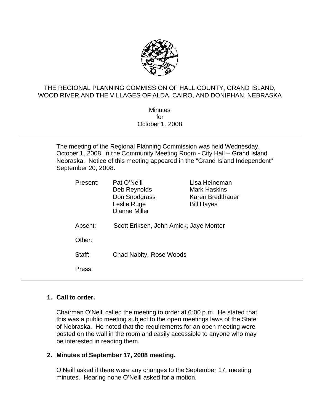

#### THE REGIONAL PLANNING COMMISSION OF HALL COUNTY, GRAND ISLAND, WOOD RIVER AND THE VILLAGES OF ALDA, CAIRO, AND DONIPHAN, NEBRASKA

**Minutes** for October 1, 2008

The meeting of the Regional Planning Commission was held Wednesday, October 1, 2008, in the Community Meeting Room - City Hall – Grand Island, Nebraska. Notice of this meeting appeared in the "Grand Island Independent" September 20, 2008.

| Present: | Pat O'Neill<br>Deb Reynolds<br>Don Snodgrass<br>Leslie Ruge<br>Dianne Miller | Lisa Heineman<br><b>Mark Haskins</b><br>Karen Bredthauer<br><b>Bill Hayes</b> |
|----------|------------------------------------------------------------------------------|-------------------------------------------------------------------------------|
| Absent:  | Scott Eriksen, John Amick, Jaye Monter                                       |                                                                               |
| Other:   |                                                                              |                                                                               |
| Staff:   | Chad Nabity, Rose Woods                                                      |                                                                               |
| Press:   |                                                                              |                                                                               |

#### **1. Call to order.**

Chairman O'Neill called the meeting to order at 6:00 p.m. He stated that this was a public meeting subject to the open meetings laws of the State of Nebraska. He noted that the requirements for an open meeting were posted on the wall in the room and easily accessible to anyone who may be interested in reading them.

#### **2. Minutes of September 17, 2008 meeting.**

O'Neill asked if there were any changes to the September 17, meeting minutes. Hearing none O'Neill asked for a motion.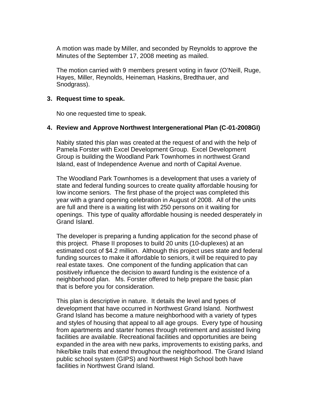A motion was made by Miller, and seconded by Reynolds to approve the Minutes of the September 17, 2008 meeting as mailed.

The motion carried with 9 members present voting in favor (O'Neill, Ruge, Hayes, Miller, Reynolds, Heineman, Haskins, Bredthauer, and Snodgrass).

#### **3. Request time to speak.**

No one requested time to speak.

#### **4. Review and Approve Northwest Intergenerational Plan (C-01-2008GI)**

Nabity stated this plan was created at the request of and with the help of Pamela Forster with Excel Development Group. Excel Development Group is building the Woodland Park Townhomes in northwest Grand Island, east of Independence Avenue and north of Capital Avenue.

The Woodland Park Townhomes is a development that uses a variety of state and federal funding sources to create quality affordable housing for low income seniors. The first phase of the project was completed this year with a grand opening celebration in August of 2008. All of the units are full and there is a waiting list with 250 persons on it waiting for openings. This type of quality affordable housing is needed desperately in Grand Island.

The developer is preparing a funding application for the second phase of this project. Phase II proposes to build 20 units (10-duplexes) at an estimated cost of \$4.2 million. Although this project uses state and federal funding sources to make it affordable to seniors, it will be required to pay real estate taxes. One component of the funding application that can positively influence the decision to award funding is the existence of a neighborhood plan. Ms. Forster offered to help prepare the basic plan that is before you for consideration.

This plan is descriptive in nature. It details the level and types of development that have occurred in Northwest Grand Island. Northwest Grand Island has become a mature neighborhood with a variety of types and styles of housing that appeal to all age groups. Every type of housing from apartments and starter homes through retirement and assisted living facilities are available. Recreational facilities and opportunities are being expanded in the area with new parks, improvements to existing parks, and hike/bike trails that extend throughout the neighborhood. The Grand Island public school system (GIPS) and Northwest High School both have facilities in Northwest Grand Island.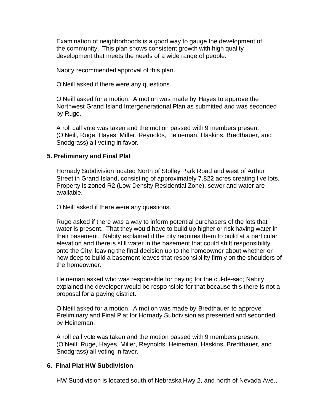Examination of neighborhoods is a good way to gauge the development of the community. This plan shows consistent growth with high quality development that meets the needs of a wide range of people.

Nabity recommended approval of this plan.

O'Neill asked if there were any questions.

O'Neill asked for a motion. A motion was made by Hayes to approve the Northwest Grand Island Intergenerational Plan as submitted and was seconded by Ruge.

A roll call vote was taken and the motion passed with 9 members present (O'Neill, Ruge, Hayes, Miller, Reynolds, Heineman, Haskins, Bredthauer, and Snodgrass) all voting in favor.

#### **5. Preliminary and Final Plat**

Hornady Subdivision located North of Stolley Park Road and west of Arthur Street in Grand Island, consisting of approximately 7.822 acres creating five lots. Property is zoned R2 (Low Density Residential Zone), sewer and water are available.

O'Neill asked if there were any questions.

Ruge asked if there was a way to inform potential purchasers of the lots that water is present. That they would have to build up higher or risk having water in their basement. Nabity explained if the city requires them to build at a particular elevation and there is still water in the basement that could shift responsibility onto the City, leaving the final decision up to the homeowner about whether or how deep to build a basement leaves that responsibility firmly on the shoulders of the homeowner.

Heineman asked who was responsible for paying for the cul-de-sac; Nabity explained the developer would be responsible for that because this there is not a proposal for a paving district.

O'Neill asked for a motion. A motion was made by Bredthauer to approve Preliminary and Final Plat for Hornady Subdivision as presented and seconded by Heineman.

A roll call vote was taken and the motion passed with 9 members present (O'Neill, Ruge, Hayes, Miller, Reynolds, Heineman, Haskins, Bredthauer, and Snodgrass) all voting in favor.

#### **6. Final Plat HW Subdivision**

HW Subdivision is located south of Nebraska Hwy 2, and north of Nevada Ave.,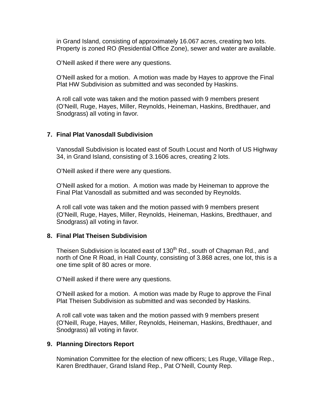in Grand Island, consisting of approximately 16.067 acres, creating two lots. Property is zoned RO (Residential Office Zone), sewer and water are available.

O'Neill asked if there were any questions.

O'Neill asked for a motion. A motion was made by Hayes to approve the Final Plat HW Subdivision as submitted and was seconded by Haskins.

A roll call vote was taken and the motion passed with 9 members present (O'Neill, Ruge, Hayes, Miller, Reynolds, Heineman, Haskins, Bredthauer, and Snodgrass) all voting in favor.

#### **7. Final Plat Vanosdall Subdivision**

Vanosdall Subdivision is located east of South Locust and North of US Highway 34, in Grand Island, consisting of 3.1606 acres, creating 2 lots.

O'Neill asked if there were any questions.

O'Neill asked for a motion. A motion was made by Heineman to approve the Final Plat Vanosdall as submitted and was seconded by Reynolds.

A roll call vote was taken and the motion passed with 9 members present (O'Neill, Ruge, Hayes, Miller, Reynolds, Heineman, Haskins, Bredthauer, and Snodgrass) all voting in favor.

#### **8. Final Plat Theisen Subdivision**

Theisen Subdivision is located east of 130<sup>th</sup> Rd., south of Chapman Rd., and north of One R Road, in Hall County, consisting of 3.868 acres, one lot, this is a one time split of 80 acres or more.

O'Neill asked if there were any questions.

O'Neill asked for a motion. A motion was made by Ruge to approve the Final Plat Theisen Subdivision as submitted and was seconded by Haskins.

A roll call vote was taken and the motion passed with 9 members present (O'Neill, Ruge, Hayes, Miller, Reynolds, Heineman, Haskins, Bredthauer, and Snodgrass) all voting in favor.

#### **9. Planning Directors Report**

Nomination Committee for the election of new officers; Les Ruge, Village Rep., Karen Bredthauer, Grand Island Rep., Pat O'Neill, County Rep.